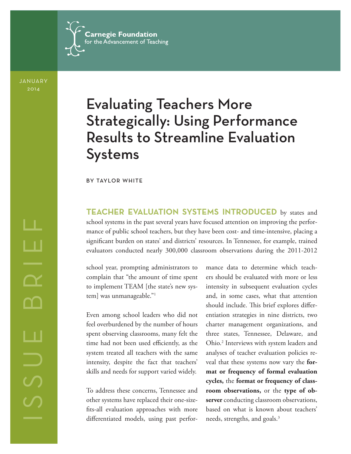

JANUARY 2014

# Evaluating Teachers More Strategically: Using Performance Results to Streamline Evaluation Systems

BY TAYLOR WHITE

**TEACHER EVALUATION SYSTEMS INTRODUCED** by states and school systems in the past several years have focused attention on improving the performance of public school teachers, but they have been cost- and time-intensive, placing a significant burden on states' and districts' resources. In Tennessee, for example, trained evaluators conducted nearly 300,000 classroom observations during the 2011-2012

school year, prompting administrators to complain that "the amount of time spent to implement TEAM [the state's new system] was unmanageable."1

Even among school leaders who did not feel overburdened by the number of hours spent observing classrooms, many felt the time had not been used efficiently, as the system treated all teachers with the same intensity, despite the fact that teachers' skills and needs for support varied widely.

To address these concerns, Tennessee and other systems have replaced their one-sizefits-all evaluation approaches with more differentiated models, using past performance data to determine which teachers should be evaluated with more or less intensity in subsequent evaluation cycles and, in some cases, what that attention should include. This brief explores differentiation strategies in nine districts, two charter management organizations, and three states, Tennessee, Delaware, and Ohio.2 Interviews with system leaders and analyses of teacher evaluation policies reveal that these systems now vary the **format or frequency of formal evaluation cycles,** the **format or frequency of classroom observations,** or the **type of observer** conducting classroom observations, based on what is known about teachers' needs, strengths, and goals.<sup>3</sup>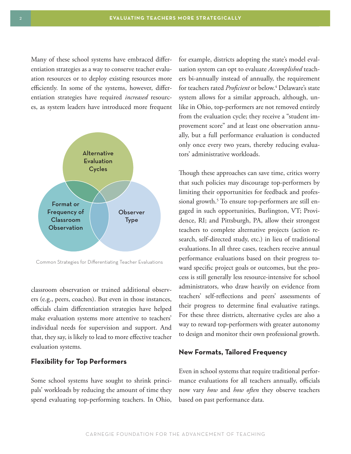Many of these school systems have embraced differentiation strategies as a way to conserve teacher evaluation resources or to deploy existing resources more efficiently. In some of the systems, however, differentiation strategies have required *increased* resources, as system leaders have introduced more frequent



Common Strategies for Differentiating Teacher Evaluations

classroom observation or trained additional observers (e.g., peers, coaches). But even in those instances, officials claim differentiation strategies have helped make evaluation systems more attentive to teachers' individual needs for supervision and support. And that, they say, is likely to lead to more effective teacher evaluation systems.

## **Flexibility for Top Performers**

Some school systems have sought to shrink principals' workloads by reducing the amount of time they spend evaluating top-performing teachers. In Ohio,

for example, districts adopting the state's model evaluation system can opt to evaluate *Accomplished* teachers bi-annually instead of annually, the requirement for teachers rated *Proficient* or below.4 Delaware's state system allows for a similar approach, although, unlike in Ohio, top-performers are not removed entirely from the evaluation cycle; they receive a "student improvement score" and at least one observation annually, but a full performance evaluation is conducted only once every two years, thereby reducing evaluators' administrative workloads.

Though these approaches can save time, critics worry that such policies may discourage top-performers by limiting their opportunities for feedback and professional growth.5 To ensure top-performers are still engaged in such opportunities, Burlington, VT; Providence, RI; and Pittsburgh, PA, allow their strongest teachers to complete alternative projects (action research, self-directed study, etc.) in lieu of traditional evaluations.In all three cases, teachers receive annual performance evaluations based on their progress toward specific project goals or outcomes, but the process is still generally less resource-intensive for school administrators, who draw heavily on evidence from teachers' self-reflections and peers' assessments of their progress to determine final evaluative ratings. For these three districts, alternative cycles are also a way to reward top-performers with greater autonomy to design and monitor their own professional growth.

#### **New Formats, Tailored Frequency**

Even in school systems that require traditional performance evaluations for all teachers annually, officials now vary *how* and *how often* they observe teachers based on past performance data.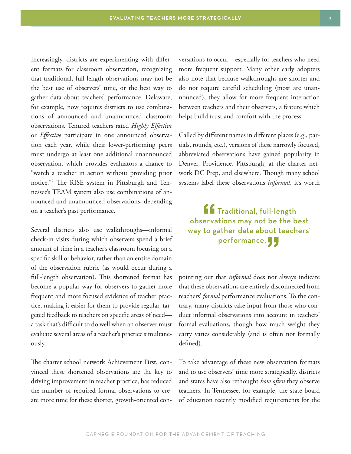Increasingly, districts are experimenting with different formats for classroom observation, recognizing that traditional, full-length observations may not be the best use of observers' time, or the best way to gather data about teachers' performance. Delaware, for example, now requires districts to use combinations of announced and unannounced classroom observations. Tenured teachers rated *Highly Effective* or *Effective* participate in one announced observation each year, while their lower-performing peers must undergo at least one additional unannounced observation, which provides evaluators a chance to "watch a teacher in action without providing prior notice."7 The RISE system in Pittsburgh and Tennessee's TEAM system also use combinations of announced and unannounced observations, depending on a teacher's past performance.

Several districts also use walkthroughs—informal check-in visits during which observers spend a brief amount of time in a teacher's classroom focusing on a specific skill or behavior, rather than an entire domain of the observation rubric (as would occur during a full-length observation). This shortened format has become a popular way for observers to gather more frequent and more focused evidence of teacher practice, making it easier for them to provide regular, targeted feedback to teachers on specific areas of need a task that's difficult to do well when an observer must evaluate several areas of a teacher's practice simultaneously.

The charter school network Achievement First, convinced these shortened observations are the key to driving improvement in teacher practice, has reduced the number of required formal observations to create more time for these shorter, growth-oriented conversations to occur—especially for teachers who need more frequent support. Many other early adopters also note that because walkthroughs are shorter and do not require careful scheduling (most are unannounced), they allow for more frequent interaction between teachers and their observers, a feature which helps build trust and comfort with the process.

Called by different names in different places (e.g., partials, rounds, etc.), versions of these narrowly focused, abbreviated observations have gained popularity in Denver, Providence, Pittsburgh, at the charter network DC Prep, and elsewhere. Though many school systems label these observations *informal,* it's worth

# **ff** Traditional, full-length observations may not be the best way to gather data about teachers' performance.

pointing out that *informal* does not always indicate that these observations are entirely disconnected from teachers' *formal* performance evaluations. To the contrary, many districts take input from those who conduct informal observations into account in teachers' formal evaluations, though how much weight they carry varies considerably (and is often not formally defined).

To take advantage of these new observation formats and to use observers' time more strategically, districts and states have also rethought *how often* they observe teachers. In Tennessee, for example, the state board of education recently modified requirements for the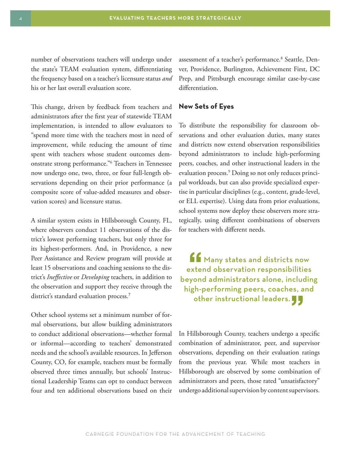number of observations teachers will undergo under the state's TEAM evaluation system, differentiating the frequency based on a teacher's licensure status *and* his or her last overall evaluation score.

This change, driven by feedback from teachers and administrators after the first year of statewide TEAM implementation, is intended to allow evaluators to "spend more time with the teachers most in need of improvement, while reducing the amount of time spent with teachers whose student outcomes demonstrate strong performance."6 Teachers in Tennessee now undergo one, two, three, or four full-length observations depending on their prior performance (a composite score of value-added measures and observation scores) and licensure status.

A similar system exists in Hillsborough County, FL, where observers conduct 11 observations of the district's lowest performing teachers, but only three for its highest-performers. And, in Providence, a new Peer Assistance and Review program will provide at least 15 observations and coaching sessions to the district's *Ineffective* or *Developing* teachers, in addition to the observation and support they receive through the district's standard evaluation process.<sup>7</sup>

Other school systems set a minimum number of formal observations, but allow building administrators to conduct additional observations—whether formal or informal—according to teachers' demonstrated needs and the school's available resources. In Jefferson County, CO, for example, teachers must be formally observed three times annually, but schools' Instructional Leadership Teams can opt to conduct between four and ten additional observations based on their assessment of a teacher's performance.8 Seattle, Denver, Providence, Burlington, Achievement First, DC Prep, and Pittsburgh encourage similar case-by-case differentiation.

#### **New Sets of Eyes**

To distribute the responsibility for classroom observations and other evaluation duties, many states and districts now extend observation responsibilities beyond administrators to include high-performing peers, coaches, and other instructional leaders in the evaluation process.9 Doing so not only reduces principal workloads, but can also provide specialized expertise in particular disciplines (e.g., content, grade-level, or ELL expertise). Using data from prior evaluations, school systems now deploy these observers more strategically, using different combinations of observers for teachers with different needs.

If Many states and districts now extend observation responsibilities beyond administrators alone, including high-performing peers, coaches, and other instructional leaders.  $\blacksquare$ 

In Hillsborough County, teachers undergo a specific combination of administrator, peer, and supervisor observations, depending on their evaluation ratings from the previous year. While most teachers in Hillsborough are observed by some combination of administrators and peers, those rated "unsatisfactory" undergo additional supervision by content supervisors.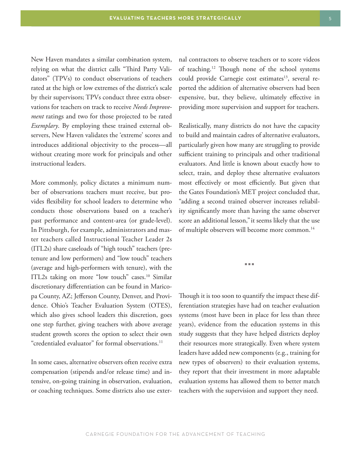New Haven mandates a similar combination system, relying on what the district calls "Third Party Validators" (TPVs) to conduct observations of teachers rated at the high or low extremes of the district's scale by their supervisors; TPVs conduct three extra observations for teachers on track to receive *Needs Improvement* ratings and two for those projected to be rated *Exemplary*. By employing these trained external observers, New Haven validates the 'extreme' scores and introduces additional objectivity to the process—all without creating more work for principals and other instructional leaders.

More commonly, policy dictates a minimum number of observations teachers must receive, but provides flexibility for school leaders to determine who conducts those observations based on a teacher's past performance and content-area (or grade-level). In Pittsburgh, for example, administrators and master teachers called Instructional Teacher Leader 2s (ITL2s) share caseloads of "high touch" teachers (pretenure and low performers) and "low touch" teachers (average and high-performers with tenure), with the ITL2s taking on more "low touch" cases.<sup>10</sup> Similar discretionary differentiation can be found in Maricopa County, AZ; Jefferson County, Denver, and Providence. Ohio's Teacher Evaluation System (OTES), which also gives school leaders this discretion, goes one step further, giving teachers with above average student growth scores the option to select their own "credentialed evaluator" for formal observations.<sup>11</sup>

In some cases, alternative observers often receive extra compensation (stipends and/or release time) and intensive, on-going training in observation, evaluation, or coaching techniques. Some districts also use external contractors to observe teachers or to score videos of teaching.12 Though none of the school systems could provide Carnegie cost estimates<sup>13</sup>, several reported the addition of alternative observers had been expensive, but, they believe, ultimately effective in providing more supervision and support for teachers.

Realistically, many districts do not have the capacity to build and maintain cadres of alternative evaluators, particularly given how many are struggling to provide sufficient training to principals and other traditional evaluators. And little is known about exactly how to select, train, and deploy these alternative evaluators most effectively or most efficiently. But given that the Gates Foundation's MET project concluded that, "adding a second trained observer increases reliability significantly more than having the same observer score an additional lesson," it seems likely that the use of multiple observers will become more common.<sup>14</sup>

JJJ

Though it is too soon to quantify the impact these differentiation strategies have had on teacher evaluation systems (most have been in place for less than three years), evidence from the education systems in this study suggests that they have helped districts deploy their resources more strategically. Even where system leaders have added new components (e.g., training for new types of observers) to their evaluation systems, they report that their investment in more adaptable evaluation systems has allowed them to better match teachers with the supervision and support they need.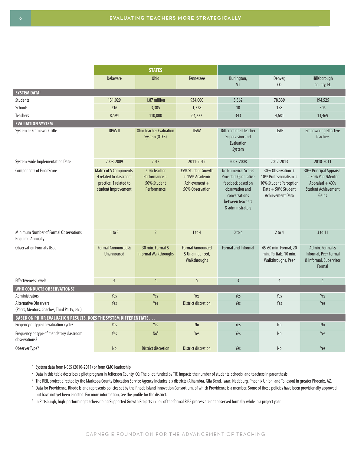|                                                                              |                                                                                                           | <b>STATES</b>                                              |                                                                           |                                                                                                                                                      |                                                                                                                  |                                                                                                       |  |  |  |  |  |  |
|------------------------------------------------------------------------------|-----------------------------------------------------------------------------------------------------------|------------------------------------------------------------|---------------------------------------------------------------------------|------------------------------------------------------------------------------------------------------------------------------------------------------|------------------------------------------------------------------------------------------------------------------|-------------------------------------------------------------------------------------------------------|--|--|--|--|--|--|
|                                                                              | <b>Delaware</b>                                                                                           | <b>Ohio</b>                                                | <b>Tennessee</b>                                                          | Burlington,<br>VT                                                                                                                                    | Denver,<br>C <sub>0</sub>                                                                                        | Hillsborough<br>County, FL                                                                            |  |  |  |  |  |  |
| <b>SYSTEM DATA1</b>                                                          |                                                                                                           |                                                            |                                                                           |                                                                                                                                                      |                                                                                                                  |                                                                                                       |  |  |  |  |  |  |
| <b>Students</b>                                                              | 131,029                                                                                                   | 1.87 million                                               | 934,000                                                                   | 3,362                                                                                                                                                | 78,339                                                                                                           | 194,525                                                                                               |  |  |  |  |  |  |
| <b>Schools</b>                                                               | 216                                                                                                       | 3,305                                                      | 1,728                                                                     | 10                                                                                                                                                   | 158                                                                                                              | 305                                                                                                   |  |  |  |  |  |  |
| <b>Teachers</b>                                                              | 8,594                                                                                                     | 110,000                                                    | 64,227                                                                    | 343                                                                                                                                                  | 4,681                                                                                                            | 13,469                                                                                                |  |  |  |  |  |  |
| <b>EVALUATION SYSTEM</b>                                                     |                                                                                                           |                                                            |                                                                           |                                                                                                                                                      |                                                                                                                  |                                                                                                       |  |  |  |  |  |  |
| System or Framework Title                                                    | <b>DPAS II</b>                                                                                            | <b>Ohio Teacher Evaluation</b><br>System (OTES)            | <b>TEAM</b>                                                               | <b>Differentiated Teacher</b><br>Supervision and<br><b>Evaluation</b><br>System                                                                      | LEAP                                                                                                             | <b>Empowering Effective</b><br><b>Teachers</b>                                                        |  |  |  |  |  |  |
| System-wide Implementation Date                                              | 2008-2009                                                                                                 | 2013                                                       | 2011-2012                                                                 | 2007-2008                                                                                                                                            | 2012-2013                                                                                                        | 2010-2011                                                                                             |  |  |  |  |  |  |
| <b>Components of Final Score</b>                                             | <b>Matrix of 5 Components:</b><br>4 related to classroom<br>practice, 1 related to<br>student improvement | 50% Teacher<br>Performance +<br>50% Student<br>Performance | 35% Student Growth<br>+15% Academic<br>Achievement $+$<br>50% Observation | <b>No Numerical Scores</b><br>Provided. Qualitative<br>feedback based on<br>observation and<br>conversations<br>between teachers<br>& administrators | 30% Observation +<br>10% Professionalism +<br>10% Student Perception<br>Data $+50\%$ Student<br>Achievement Data | 30% Principal Appraisal<br>+30% Peer/Mentor<br>Appraisal + 40%<br><b>Student Achievement</b><br>Gains |  |  |  |  |  |  |
| <b>Minimum Number of Formal Observations</b><br><b>Required Annually</b>     | 1 to 3                                                                                                    | $\overline{2}$                                             | 1 to 4                                                                    | $0$ to $4$                                                                                                                                           | 2 to 4                                                                                                           | 3 to 11                                                                                               |  |  |  |  |  |  |
| <b>Observation Formats Used</b>                                              | <b>Formal Announced &amp;</b><br>Unannouced                                                               | 30 min. Formal &<br><b>Informal Walkthroughs</b>           | <b>Formal Announced</b><br>& Unannounced,<br>Walkthroughs                 | <b>Formal and Informal</b>                                                                                                                           | 45-60 min. Formal, 20<br>min. Partials, 10 min.<br>Walkthroughs, Peer                                            | Admin. Formal &<br>Informal, Peer Formal<br>& Informal, Supervisor<br>Formal                          |  |  |  |  |  |  |
| <b>Effectiveness Levels</b>                                                  | $\overline{4}$                                                                                            | $\overline{4}$                                             | 5                                                                         | $\overline{3}$                                                                                                                                       | $\overline{4}$                                                                                                   | $\overline{4}$                                                                                        |  |  |  |  |  |  |
| WHO CONDUCTS OBSERVATIONS?                                                   |                                                                                                           |                                                            |                                                                           |                                                                                                                                                      |                                                                                                                  |                                                                                                       |  |  |  |  |  |  |
| Administrators                                                               | Yes                                                                                                       | Yes                                                        | Yes                                                                       | Yes                                                                                                                                                  | Yes                                                                                                              | Yes                                                                                                   |  |  |  |  |  |  |
| <b>Alternative Observers</b><br>(Peers, Mentors, Coaches, Third Party, etc.) | Yes                                                                                                       | Yes                                                        | <b>District discretion</b>                                                | <b>Yes</b>                                                                                                                                           | Yes                                                                                                              | Yes                                                                                                   |  |  |  |  |  |  |
| BASED ON PRIOR EVALUATION RESULTS, DOES THE SYSTEM DIFFERENTIATE             |                                                                                                           |                                                            |                                                                           |                                                                                                                                                      |                                                                                                                  |                                                                                                       |  |  |  |  |  |  |
| Freqency or type of evaluation cycle?                                        | Yes                                                                                                       | Yes                                                        | N <sub>o</sub>                                                            | Yes                                                                                                                                                  | <b>No</b>                                                                                                        | <b>No</b>                                                                                             |  |  |  |  |  |  |
| Frequency or type of mandatory classroom<br>observations?                    | Yes                                                                                                       | No <sup>8</sup>                                            | Yes                                                                       | <b>Yes</b>                                                                                                                                           | <b>No</b>                                                                                                        | Yes                                                                                                   |  |  |  |  |  |  |
| Observer Type?                                                               | No                                                                                                        | <b>District discretion</b>                                 | District discretion                                                       | Yes                                                                                                                                                  | <b>No</b>                                                                                                        | Yes                                                                                                   |  |  |  |  |  |  |

<sup>1</sup> System data from NCES (2010-2011) or from CMO leadership.

<sup>2</sup> Data in this table describes a pilot program in Jefferson County, CO. The pilot, funded by TIF, impacts the number of students, schools, and teachers in parenthesis.

<sup>3</sup> The REIL project directed by the Maricopa County Education Service Agency includes six districts (Alhambra, Gila Bend, Isaac, Nadaburg, Phoenix Union, and Tolleson) in greater Phoenix, AZ.

4 Data for Providence, Rhode Island represents policies set by the Rhode Island Innovation Consortium, of which Providence is a member. Some of these policies have been provisionally approved but have not yet been enacted. For more information, see the profile for the district.

<sup>5</sup> In Pittsburgh, high-performing teachers doing Supported Growth Projects in lieu of the formal RISE process are not observed formally while in a project year.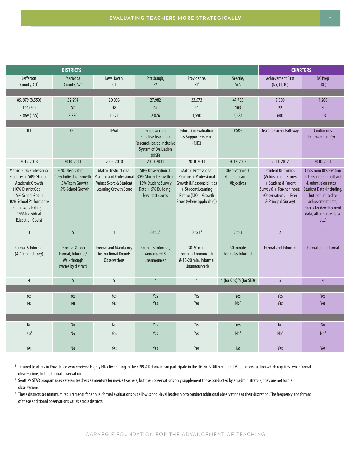| <b>DISTRICTS</b>                                                                                                                                                                                                          |                                                                                       |                                                                                                              |                                                                                                                       |                                                                                                                                                         |                                                                  | <b>CHARTERS</b>                                                                                                                                  |                                                                                                                                                                                                                        |  |  |  |  |
|---------------------------------------------------------------------------------------------------------------------------------------------------------------------------------------------------------------------------|---------------------------------------------------------------------------------------|--------------------------------------------------------------------------------------------------------------|-----------------------------------------------------------------------------------------------------------------------|---------------------------------------------------------------------------------------------------------------------------------------------------------|------------------------------------------------------------------|--------------------------------------------------------------------------------------------------------------------------------------------------|------------------------------------------------------------------------------------------------------------------------------------------------------------------------------------------------------------------------|--|--|--|--|
| Jefferson<br>County, CO <sup>2</sup>                                                                                                                                                                                      | Maricopa<br>County, AZ <sup>3</sup>                                                   | New Haven,<br><b>CT</b>                                                                                      | Pittsburgh,<br>PA                                                                                                     | Providence,<br>RI <sup>4</sup>                                                                                                                          | Seattle,<br><b>WA</b>                                            | <b>Achievement First</b><br>(NY, CT, RI)                                                                                                         | <b>DC Prep</b><br>(DC)                                                                                                                                                                                                 |  |  |  |  |
|                                                                                                                                                                                                                           |                                                                                       |                                                                                                              |                                                                                                                       |                                                                                                                                                         |                                                                  |                                                                                                                                                  |                                                                                                                                                                                                                        |  |  |  |  |
| 85, 979 (8,550)                                                                                                                                                                                                           | 52,294                                                                                | 20,003                                                                                                       | 27,982                                                                                                                | 23,573                                                                                                                                                  | 47,735                                                           | 7,000                                                                                                                                            | 1,200                                                                                                                                                                                                                  |  |  |  |  |
| 166(20)                                                                                                                                                                                                                   | 52                                                                                    | 48                                                                                                           | 69                                                                                                                    | 51                                                                                                                                                      | 103                                                              | 22                                                                                                                                               | $\overline{4}$                                                                                                                                                                                                         |  |  |  |  |
| 4,869 (155)                                                                                                                                                                                                               | 3,380                                                                                 | 1,571                                                                                                        | 2,076                                                                                                                 | 1,590                                                                                                                                                   | 5,584                                                            | 600                                                                                                                                              | 113                                                                                                                                                                                                                    |  |  |  |  |
|                                                                                                                                                                                                                           |                                                                                       |                                                                                                              |                                                                                                                       |                                                                                                                                                         |                                                                  |                                                                                                                                                  |                                                                                                                                                                                                                        |  |  |  |  |
| TLL                                                                                                                                                                                                                       | <b>REIL</b>                                                                           | <b>TEVAL</b>                                                                                                 | <b>Empowering</b><br><b>Effective Teachers /</b><br>Research-based Inclusive<br><b>System of Evaluation</b><br>(RISE) | <b>Education Evaluation</b><br>& Support System<br>(RIIC)                                                                                               | PG&E                                                             | <b>Teacher Career Pathway</b>                                                                                                                    | Continuous<br><b>Improvement Cycle</b>                                                                                                                                                                                 |  |  |  |  |
| 2012-2013                                                                                                                                                                                                                 | 2010-2011                                                                             | 2009-2010                                                                                                    | 2010-2011                                                                                                             | 2010-2011                                                                                                                                               | 2012-2013                                                        | 2011-2012                                                                                                                                        | 2010-2011                                                                                                                                                                                                              |  |  |  |  |
| Matrix: 50% Professional<br>Practices + 50% Student<br><b>Academic Growth</b><br>(10% District Goal $+$<br>15% School Goal +<br>10% School Performance<br>Framework Rating +<br>15% Individual<br><b>Education Goals)</b> | 50% Observation +<br>40% Individual Growth<br>$+5\%$ Team Growth<br>+5% School Growth | Matrix: Instructional<br><b>Practice and Professional</b><br>Values Score & Student<br>Learning Growth Score | 50% Observation +<br>30% Student Growth +<br>15% Student Survey<br>Data + 5% Building-<br>level test scores           | Matrix: Professional<br>Practice + Professional<br>Growth & Responsibilities<br>+ Student Learning<br>Rating (SLO + Growth<br>Score (where applicable)) | Observations $+$<br><b>Student Learning</b><br><b>Objectives</b> | <b>Student Outcomes</b><br>(Achievement Scores<br>+ Student & Parent<br>Surveys) + Teacher Inputs<br>(Observations + Peer<br>& Principal Survey) | <b>Classroom Observation</b><br>+ Lesson plan feedback<br>& submission rates $+$<br>Student Data (including,<br>but not limited to<br>achievement data,<br>character development<br>data, attendance data,<br>$etc.$ ) |  |  |  |  |
| $\overline{3}$                                                                                                                                                                                                            | 5                                                                                     | $\mathbf{1}$                                                                                                 | 0 to $55$                                                                                                             | 0 to $16$                                                                                                                                               | 2 to 3                                                           | $\overline{2}$                                                                                                                                   | $\mathbf{1}$                                                                                                                                                                                                           |  |  |  |  |
| Formal & Informal<br>(4-10 mandatory)                                                                                                                                                                                     | Principal & Peer<br>Formal, Informal/<br>Walkthrough<br>(varies by district)          | <b>Formal and Mandatory</b><br><b>Instructional Rounds</b><br><b>Observations</b>                            | Formal & Informal,<br>Announced &<br><b>Unannounced</b>                                                               | 30-60 min.<br>Formal (Announced)<br>& 10-20 min. Informal<br>(Unannounced)                                                                              | 30 minute<br>Formal & Informal                                   | <b>Formal and Informal</b>                                                                                                                       | <b>Formal and Informal</b>                                                                                                                                                                                             |  |  |  |  |
| $\overline{4}$                                                                                                                                                                                                            | 5                                                                                     | 5                                                                                                            | $\overline{4}$                                                                                                        | $\overline{4}$                                                                                                                                          | 4 (for Obs)/5 (for SLO)                                          | 5                                                                                                                                                | $\overline{4}$                                                                                                                                                                                                         |  |  |  |  |
|                                                                                                                                                                                                                           |                                                                                       |                                                                                                              |                                                                                                                       |                                                                                                                                                         |                                                                  |                                                                                                                                                  |                                                                                                                                                                                                                        |  |  |  |  |
| Yes                                                                                                                                                                                                                       | Yes                                                                                   | Yes                                                                                                          | Yes                                                                                                                   | Yes                                                                                                                                                     | Yes                                                              | Yes                                                                                                                                              | Yes                                                                                                                                                                                                                    |  |  |  |  |
| Yes                                                                                                                                                                                                                       | Yes                                                                                   | Yes                                                                                                          | Yes                                                                                                                   | Yes                                                                                                                                                     | No <sup>7</sup>                                                  | Yes                                                                                                                                              | Yes                                                                                                                                                                                                                    |  |  |  |  |
|                                                                                                                                                                                                                           |                                                                                       |                                                                                                              |                                                                                                                       |                                                                                                                                                         |                                                                  |                                                                                                                                                  |                                                                                                                                                                                                                        |  |  |  |  |
| No                                                                                                                                                                                                                        | <b>No</b>                                                                             | No                                                                                                           | Yes                                                                                                                   | Yes                                                                                                                                                     | Yes                                                              | N <sub>o</sub>                                                                                                                                   | <b>No</b>                                                                                                                                                                                                              |  |  |  |  |
| No <sup>8</sup>                                                                                                                                                                                                           | <b>No</b>                                                                             | Yes                                                                                                          | Yes                                                                                                                   | Yes                                                                                                                                                     | No <sup>8</sup>                                                  | No <sup>8</sup>                                                                                                                                  | No <sup>8</sup>                                                                                                                                                                                                        |  |  |  |  |
| Yes                                                                                                                                                                                                                       | <b>No</b>                                                                             | Yes                                                                                                          | Yes                                                                                                                   | Yes                                                                                                                                                     | No                                                               | Yes                                                                                                                                              | Yes                                                                                                                                                                                                                    |  |  |  |  |

<sup>6</sup> Tenured teachers in Providence who receive a Highly Effective Rating in their PPG&R domain can participate in the district's Differentiated Model of evaluation which requires two informal observations, but no formal observation.

<sup>7</sup> Seattle's STAR program uses veteran teachers as mentors for novice teachers, but their observations only supplement those conducted by an administrators; they are not formal observations.

<sup>8</sup> These districts set minimum requirements for annual formal evaluations but allow school-level leadership to conduct additional observations at their discretion. The frequency and format of these additional observations varies across districts.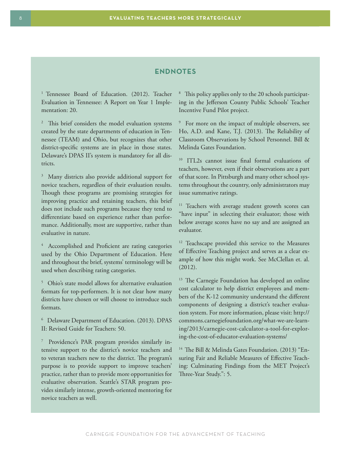## **ENDNOTES**

<sup>1</sup> Tennessee Board of Education. (2012). Teacher Evaluation in Tennessee: A Report on Year 1 Implementation: 20.

<sup>2</sup> This brief considers the model evaluation systems created by the state departments of education in Tennessee (TEAM) and Ohio, but recognizes that other district-specific systems are in place in those states. Delaware's DPAS II's system is mandatory for all districts.

<sup>3</sup> Many districts also provide additional support for novice teachers, regardless of their evaluation results. Though these programs are promising strategies for improving practice and retaining teachers, this brief does not include such programs because they tend to differentiate based on experience rather than performance. Additionally, most are supportive, rather than evaluative in nature.

<sup>4</sup> Accomplished and Proficient are rating categories used by the Ohio Department of Education. Here and throughout the brief, systems' terminology will be used when describing rating categories.

5 Ohio's state model allows for alternative evaluation formats for top-performers. It is not clear how many districts have chosen or will choose to introduce such formats.

6 Delaware Department of Education. (2013). DPAS II: Revised Guide for Teachers: 50.

7 Providence's PAR program provides similarly intensive support to the district's novice teachers and to veteran teachers new to the district. The program's purpose is to provide support to improve teachers' practice, rather than to provide more opportunities for evaluative observation. Seattle's STAR program provides similarly intense, growth-oriented mentoring for novice teachers as well.

<sup>8</sup> This policy applies only to the 20 schools participating in the Jefferson County Public Schools' Teacher Incentive Fund Pilot project.

<sup>9</sup> For more on the impact of multiple observers, see Ho, A.D. and Kane, T.J. (2013). The Reliability of Classroom Observations by School Personnel. Bill & Melinda Gates Foundation.

10 ITL2s cannot issue final formal evaluations of teachers, however, even if their observations are a part of that score. In Pittsburgh and many other school systems throughout the country, only administrators may issue summative ratings.

<sup>11</sup> Teachers with average student growth scores can "have input" in selecting their evaluator; those with below average scores have no say and are assigned an evaluator.

<sup>12</sup> Teachscape provided this service to the Measures of Effective Teaching project and serves as a clear example of how this might work. See McClellan et. al. (2012).

<sup>13</sup> The Carnegie Foundation has developed an online cost calculator to help district employees and members of the K-12 community understand the different components of designing a district's teacher evaluation system. For more information, please visit: http:// commons.carnegiefoundation.org/what-we-are-learning/2013/carnegie-cost-calculator-a-tool-for-exploring-the-cost-of-educator-evaluation-systems/

<sup>14</sup> The Bill & Melinda Gates Foundation. (2013) "Ensuring Fair and Reliable Measures of Effective Teaching: Culminating Findings from the MET Project's Three-Year Study.": 5.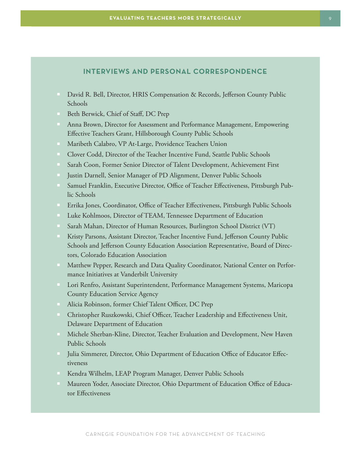#### **INTERVIEWS AND PERSONAL CORRESPONDENCE**

- David R. Bell, Director, HRIS Compensation & Records, Jefferson County Public Schools
- Beth Berwick, Chief of Staff, DC Prep
- Anna Brown, Director for Assessment and Performance Management, Empowering Effective Teachers Grant, Hillsborough County Public Schools
- Maribeth Calabro, VP At-Large, Providence Teachers Union
- Clover Codd, Director of the Teacher Incentive Fund, Seattle Public Schools
- Sarah Coon, Former Senior Director of Talent Development, Achievement First
- Justin Darnell, Senior Manager of PD Alignment, Denver Public Schools
- Samuel Franklin, Executive Director, Office of Teacher Effectiveness, Pittsburgh Public Schools
- Errika Jones, Coordinator, Office of Teacher Effectiveness, Pittsburgh Public Schools
- Luke Kohlmoos, Director of TEAM, Tennessee Department of Education
- Sarah Mahan, Director of Human Resources, Burlington School District (VT)
- Kristy Parsons, Assistant Director, Teacher Incentive Fund, Jefferson County Public Schools and Jefferson County Education Association Representative, Board of Directors, Colorado Education Association
- Matthew Pepper, Research and Data Quality Coordinator, National Center on Performance Initiatives at Vanderbilt University
- **J Lori Renfro, Assistant Superintendent, Performance Management Systems, Maricopa** County Education Service Agency
- Alicia Robinson, former Chief Talent Officer, DC Prep
- Christopher Ruszkowski, Chief Officer, Teacher Leadership and Effectiveness Unit, Delaware Department of Education
- **J.** Michele Sherban-Kline, Director, Teacher Evaluation and Development, New Haven Public Schools
- Julia Simmerer, Director, Ohio Department of Education Office of Educator Effectiveness
- **Kendra Wilhelm, LEAP Program Manager, Denver Public Schools**
- **Maureen Yoder, Associate Director, Ohio Department of Education Office of Educa**tor Effectiveness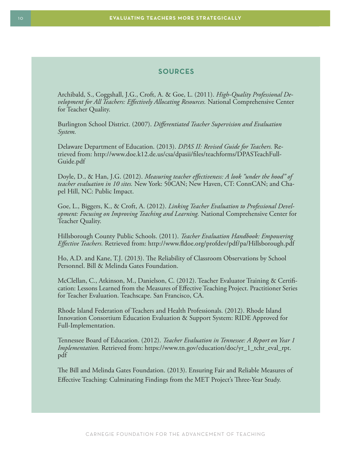# **SOURCES**

Archibald, S., Coggshall, J.G., Croft, A. & Goe, L. (2011). *High-Quality Professional Development for All Teachers: Effectively Allocating Resources.* National Comprehensive Center for Teacher Quality.

Burlington School District. (2007). *Differentiated Teacher Supervision and Evaluation System.*

Delaware Department of Education. (2013). *DPAS II: Revised Guide for Teachers.* Retrieved from: http://www.doe.k12.de.us/csa/dpasii/files/teachforms/DPASTeachFull-Guide.pdf

Doyle, D., & Han, J.G. (2012). *Measuring teacher effectiveness: A look "under the hood" of teacher evaluation in 10 sites.* New York: 50CAN; New Haven, CT: ConnCAN; and Chapel Hill, NC: Public Impact.

Goe, L., Biggers, K., & Croft, A. (2012). *Linking Teacher Evaluation to Professional Development: Focusing on Improving Teaching and Learning.* National Comprehensive Center for Teacher Quality.

Hillsborough County Public Schools. (2011). *Teacher Evaluation Handbook: Empowering Effective Teachers.* Retrieved from: http://www.fldoe.org/profdev/pdf/pa/Hillsborough.pdf

Ho, A.D. and Kane, T.J. (2013). The Reliability of Classroom Observations by School Personnel. Bill & Melinda Gates Foundation.

McClellan, C., Atkinson, M., Danielson, C. (2012). Teacher Evaluator Training & Certification: Lessons Learned from the Measures of Effective Teaching Project. Practitioner Series for Teacher Evaluation. Teachscape. San Francisco, CA.

Rhode Island Federation of Teachers and Health Professionals. (2012). Rhode Island Innovation Consortium Education Evaluation & Support System: RIDE Approved for Full-Implementation.

Tennessee Board of Education. (2012). *Teacher Evaluation in Tennessee: A Report on Year 1 Implementation.* Retrieved from: https://www.tn.gov/education/doc/yr\_1\_tchr\_eval\_rpt. pdf

The Bill and Melinda Gates Foundation. (2013). Ensuring Fair and Reliable Measures of Effective Teaching: Culminating Findings from the MET Project's Three-Year Study.